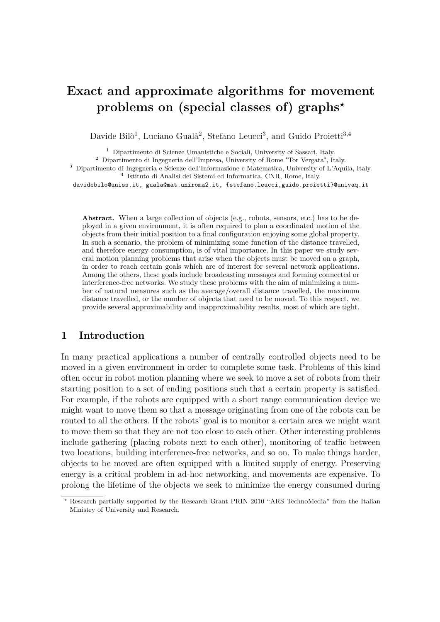# **Exact and approximate algorithms for movement problems on (special classes of) graphs***<sup>⋆</sup>*

Davide Bilò<sup>1</sup>, Luciano Gualà<sup>2</sup>, Stefano Leucci<sup>3</sup>, and Guido Proietti<sup>3,4</sup>

<sup>1</sup> Dipartimento di Scienze Umanistiche e Sociali, University of Sassari, Italy.

<sup>2</sup> Dipartimento di Ingegneria dell'Impresa, University of Rome "Tor Vergata", Italy.

<sup>3</sup> Dipartimento di Ingegneria e Scienze dell'Informazione e Matematica, University of L'Aquila, Italy. 4 Istituto di Analisi dei Sistemi ed Informatica, CNR, Rome, Italy.

davidebilo@uniss.it, guala@mat.uniroma2.it, {stefano.leucci,guido.proietti}@univaq.it

**Abstract.** When a large collection of objects (e.g., robots, sensors, etc.) has to be deployed in a given environment, it is often required to plan a coordinated motion of the objects from their initial position to a final configuration enjoying some global property. In such a scenario, the problem of minimizing some function of the distance travelled, and therefore energy consumption, is of vital importance. In this paper we study several motion planning problems that arise when the objects must be moved on a graph, in order to reach certain goals which are of interest for several network applications. Among the others, these goals include broadcasting messages and forming connected or interference-free networks. We study these problems with the aim of minimizing a number of natural measures such as the average/overall distance travelled, the maximum distance travelled, or the number of objects that need to be moved. To this respect, we provide several approximability and inapproximability results, most of which are tight.

# **1 Introduction**

In many practical applications a number of centrally controlled objects need to be moved in a given environment in order to complete some task. Problems of this kind often occur in robot motion planning where we seek to move a set of robots from their starting position to a set of ending positions such that a certain property is satisfied. For example, if the robots are equipped with a short range communication device we might want to move them so that a message originating from one of the robots can be routed to all the others. If the robots' goal is to monitor a certain area we might want to move them so that they are not too close to each other. Other interesting problems include gathering (placing robots next to each other), monitoring of traffic between two locations, building interference-free networks, and so on. To make things harder, objects to be moved are often equipped with a limited supply of energy. Preserving energy is a critical problem in ad-hoc networking, and movements are expensive. To prolong the lifetime of the objects we seek to minimize the energy consumed during

Research partially supported by the Research Grant PRIN 2010 "ARS TechnoMedia" from the Italian Ministry of University and Research.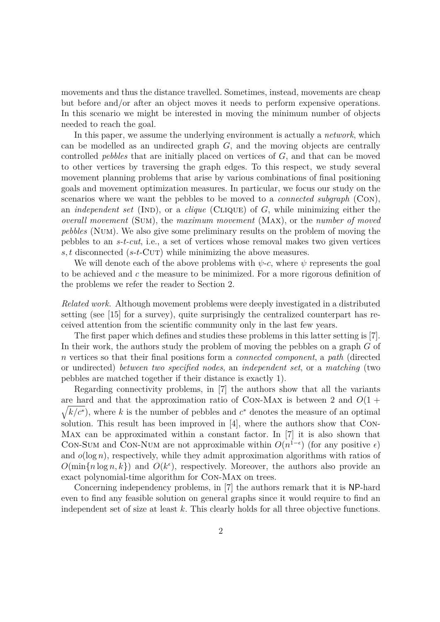movements and thus the distance travelled. Sometimes, instead, movements are cheap but before and/or after an object moves it needs to perform expensive operations. In this scenario we might be interested in moving the minimum number of objects needed to reach the goal.

In this paper, we assume the underlying environment is actually a *network*, which can be modelled as an undirected graph *G*, and the moving objects are centrally controlled *pebbles* that are initially placed on vertices of *G*, and that can be moved to other vertices by traversing the graph edges. To this respect, we study several movement planning problems that arise by various combinations of final positioning goals and movement optimization measures. In particular, we focus our study on the scenarios where we want the pebbles to be moved to a *connected subgraph* (Con), an *independent set* (IND), or a *clique* (CLIQUE) of *G*, while minimizing either the *overall movement* (Sum), the *maximum movement* (Max), or the *number of moved pebbles* (Num). We also give some preliminary results on the problem of moving the pebbles to an *s-t-cut*, i.e., a set of vertices whose removal makes two given vertices *s, t* disconnected (*s*-*t*-Cut) while minimizing the above measures.

We will denote each of the above problems with  $\psi$ -*c*, where  $\psi$  represents the goal to be achieved and *c* the measure to be minimized. For a more rigorous definition of the problems we refer the reader to Section 2.

*Related work.* Although movement problems were deeply investigated in a distributed setting (see [15] for a survey), quite surprisingly the centralized counterpart has received attention from the scientific community only in the last few years.

The first paper which defines and studies these problems in this latter setting is [7]. In their work, the authors study the problem of moving the pebbles on a graph *G* of *n* vertices so that their final positions form a *connected component*, a *path* (directed or undirected) *between two specified nodes*, an *independent set*, or a *matching* (two pebbles are matched together if their distance is exactly 1).

Regarding connectivity problems, in [7] the authors show that all the variants  $\sqrt{k/c^*}$ , where *k* is the number of pebbles and  $c^*$  denotes the measure of an optimal are hard and that the approximation ratio of Con-Max is between 2 and  $O(1 +$ solution. This result has been improved in [4], where the authors show that Con-Max can be approximated within a constant factor. In [7] it is also shown that CON-SUM and CON-NUM are not approximable within  $O(n^{1-\epsilon})$  (for any positive  $\epsilon$ ) and *o*(log *n*), respectively, while they admit approximation algorithms with ratios of  $O(\min\{n \log n, k\})$  and  $O(k^{\epsilon})$ , respectively. Moreover, the authors also provide an exact polynomial-time algorithm for Con-Max on trees.

Concerning independency problems, in [7] the authors remark that it is NP-hard even to find any feasible solution on general graphs since it would require to find an independent set of size at least *k*. This clearly holds for all three objective functions.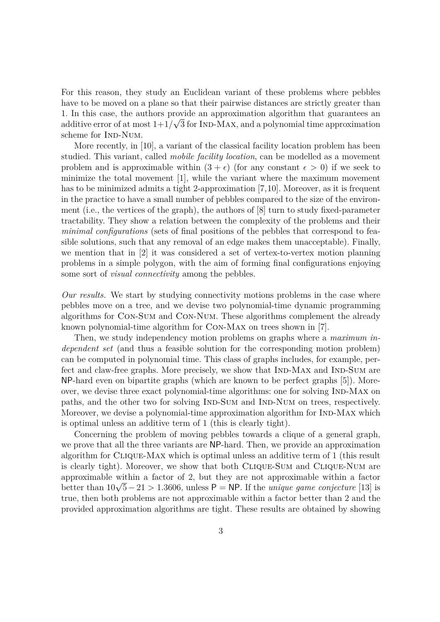For this reason, they study an Euclidean variant of these problems where pebbles have to be moved on a plane so that their pairwise distances are strictly greater than 1. In this case, the authors provide an approximation algorithm that guarantees an *√* additive error of at most  $1+1/\sqrt{3}$  for IND-MAX, and a polynomial time approximation scheme for IND-NUM.

More recently, in [10], a variant of the classical facility location problem has been studied. This variant, called *mobile facility location*, can be modelled as a movement problem and is approximable within  $(3 + \epsilon)$  (for any constant  $\epsilon > 0$ ) if we seek to minimize the total movement [1], while the variant where the maximum movement has to be minimized admits a tight 2-approximation [7,10]. Moreover, as it is frequent in the practice to have a small number of pebbles compared to the size of the environment (i.e., the vertices of the graph), the authors of [8] turn to study fixed-parameter tractability. They show a relation between the complexity of the problems and their *minimal configurations* (sets of final positions of the pebbles that correspond to feasible solutions, such that any removal of an edge makes them unacceptable). Finally, we mention that in [2] it was considered a set of vertex-to-vertex motion planning problems in a simple polygon, with the aim of forming final configurations enjoying some sort of *visual connectivity* among the pebbles.

*Our results.* We start by studying connectivity motions problems in the case where pebbles move on a tree, and we devise two polynomial-time dynamic programming algorithms for Con-Sum and Con-Num. These algorithms complement the already known polynomial-time algorithm for Con-Max on trees shown in [7].

Then, we study independency motion problems on graphs where a *maximum independent set* (and thus a feasible solution for the corresponding motion problem) can be computed in polynomial time. This class of graphs includes, for example, perfect and claw-free graphs. More precisely, we show that IND-MAX and IND-SUM are NP-hard even on bipartite graphs (which are known to be perfect graphs [5]). Moreover, we devise three exact polynomial-time algorithms: one for solving IND-MAX on paths, and the other two for solving IND-SUM and IND-NUM on trees, respectively. Moreover, we devise a polynomial-time approximation algorithm for IND-MAX which is optimal unless an additive term of 1 (this is clearly tight).

Concerning the problem of moving pebbles towards a clique of a general graph, we prove that all the three variants are NP-hard. Then, we provide an approximation algorithm for Clique-Max which is optimal unless an additive term of 1 (this result is clearly tight). Moreover, we show that both Clique-Sum and Clique-Num are approximable within a factor of 2, but they are not approximable within a factor better than <sup>10</sup>*<sup>√</sup>* 5 *−* 21 *>* 1*.*3606, unless P = NP. If the *unique game conjecture* [13] is true, then both problems are not approximable within a factor better than 2 and the provided approximation algorithms are tight. These results are obtained by showing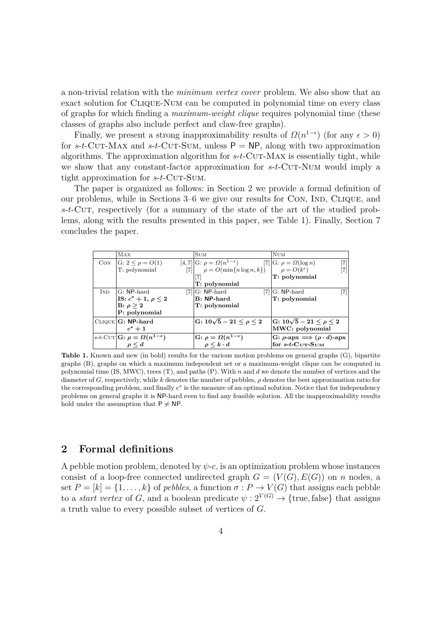a non-trivial relation with the *minimum vertex cover* problem. We also show that an exact solution for Clique-Num can be computed in polynomial time on every class of graphs for which finding a *maximum-weight clique* requires polynomial time (these classes of graphs also include perfect and claw-free graphs).

Finally, we present a strong inapproximability results of  $\Omega(n^{1-\epsilon})$  (for any  $\epsilon > 0$ ) for  $s$ -*t*-CUT-MAX and  $s$ -*t*-CUT-SUM, unless  $P = NP$ , along with two approximation algorithms. The approximation algorithm for  $s$ -*t*-CUT-MAX is essentially tight, while we show that any constant-factor approximation for *s*-*t*-Cut-Num would imply a tight approximation for *s*-*t*-CuT-Sum.

The paper is organized as follows: in Section 2 we provide a formal definition of our problems, while in Sections 3–6 we give our results for Con, Ind, Clique, and *s*-*t*-Cut, respectively (for a summary of the state of the art of the studied problems, along with the results presented in this paper, see Table 1). Finally, Section 7 concludes the paper.

|              | MAX                                                    | <b>SUM</b>                                                                                                                                                                                                           | <b>NUM</b>                                               |
|--------------|--------------------------------------------------------|----------------------------------------------------------------------------------------------------------------------------------------------------------------------------------------------------------------------|----------------------------------------------------------|
| $_{\rm CON}$ | $ G: 2 \leq \rho = O(1)$                               | $\overline{\begin{array}{c} \left[ 4,7\right] \mid \text{G: } \rho = \varOmega (n^{1-\epsilon }) \qquad \qquad \left[ 7\right] } \\ \left[ 7\right] \qquad \rho = O{\left( \min \{ n\log n,k\}\right)} \end{array}}$ | [7] G: $\rho = \Omega(\log n)$<br>[7]                    |
|              | T: polynomial                                          |                                                                                                                                                                                                                      | $\left\lceil 7 \right\rceil$<br>$\rho = O(k^{\epsilon})$ |
|              |                                                        | $\lceil 7 \rceil$                                                                                                                                                                                                    | T: polynomial                                            |
|              |                                                        | T: polynomial                                                                                                                                                                                                        |                                                          |
| <b>IND</b>   | G: NP-hard                                             | [7] G: NP-hard                                                                                                                                                                                                       | [7]  <br>$[7]$ G: NP-hard                                |
|              | IS: $c^* + 1, \, \rho \leq 2$                          | B: NP-hard                                                                                                                                                                                                           | T: polynomial                                            |
|              | B: $\rho > 2$                                          | T: polynomial                                                                                                                                                                                                        |                                                          |
|              | P: polynomial                                          |                                                                                                                                                                                                                      |                                                          |
|              | $CLIOUE$ $G: NP$ -hard                                 | G: $10\sqrt{5} - 21 \leq \rho \leq 2$                                                                                                                                                                                | G: $10\sqrt{5} - 21 \leq \rho \leq 2$                    |
|              | $c^*+1$                                                |                                                                                                                                                                                                                      | MWC: polynomial                                          |
|              | s-t-CUT $\mathbf{G}$ : $\rho = \Omega(n^{1-\epsilon})$ | $\Big \mathbf{G}\colon\rho=\Omega(n^{1-\epsilon})\atop \rho\leq k\cdot d$                                                                                                                                            | G: $\rho$ -apx $\Longrightarrow (\rho \cdot d)$ -apx     |
|              | $\rho \leq d$                                          |                                                                                                                                                                                                                      | for $s-t$ -CUT-SUM                                       |

**Table 1.** Known and new (in bold) results for the various motion problems on general graphs (G), bipartite graphs (B), graphs on which a maximum independent set or a maximum-weight clique can be computed in polynomial time (IS, MWC), trees (T), and paths (P). With *n* and *d* we denote the number of vertices and the diameter of *G*, respectively, while *k* denotes the number of pebbles,  $\rho$  denotes the best approximation ratio for the corresponding problem, and finally *c ∗* is the measure of an optimal solution. Notice that for independency problems on general graphs it is NP-hard even to find any feasible solution. All the inapproximability results hold under the assumption that  $P \neq NP$ .

# **2 Formal definitions**

A pebble motion problem, denoted by  $\psi$ -*c*, is an optimization problem whose instances consist of a loop-free connected undirected graph  $G = (V(G), E(G))$  on *n* nodes, a set  $P = [k] = \{1, \ldots, k\}$  of *pebbles*, a function  $\sigma : P \to V(G)$  that assigns each pebble to a *start vertex* of *G*, and a boolean predicate  $\psi: 2^{V(G)} \to \{\text{true}, \text{false}\}\$  that assigns a truth value to every possible subset of vertices of *G*.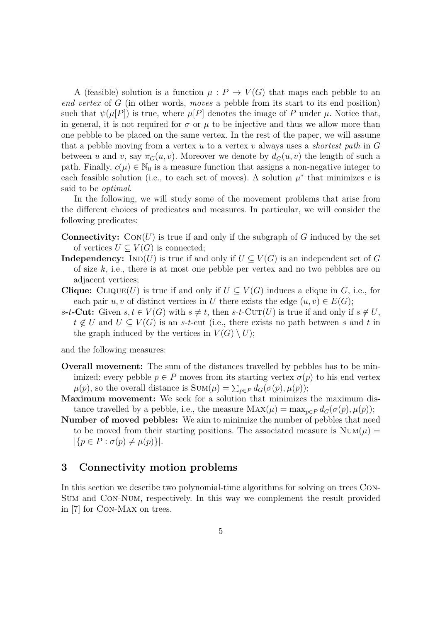A (feasible) solution is a function  $\mu$ :  $P \to V(G)$  that maps each pebble to an *end vertex* of *G* (in other words, *moves* a pebble from its start to its end position) such that  $\psi(\mu[P])$  is true, where  $\mu[P]$  denotes the image of P under  $\mu$ . Notice that, in general, it is not required for  $\sigma$  or  $\mu$  to be injective and thus we allow more than one pebble to be placed on the same vertex. In the rest of the paper, we will assume that a pebble moving from a vertex *u* to a vertex *v* always uses a *shortest path* in *G* between *u* and *v*, say  $\pi_G(u, v)$ . Moreover we denote by  $d_G(u, v)$  the length of such a path. Finally,  $c(\mu) \in \mathbb{N}_0$  is a measure function that assigns a non-negative integer to each feasible solution (i.e., to each set of moves). A solution  $\mu^*$  that minimizes *c* is said to be *optimal*.

In the following, we will study some of the movement problems that arise from the different choices of predicates and measures. In particular, we will consider the following predicates:

- **Connectivity:**  $\text{Con}(U)$  is true if and only if the subgraph of *G* induced by the set of vertices  $U \subseteq V(G)$  is connected;
- **Independency:** IND(*U*) is true if and only if  $U \subseteq V(G)$  is an independent set of *G* of size *k*, i.e., there is at most one pebble per vertex and no two pebbles are on adjacent vertices;
- **Clique:** CLIQUE(*U*) is true if and only if  $U \subseteq V(G)$  induces a clique in *G*, i.e., for each pair *u, v* of distinct vertices in *U* there exists the edge  $(u, v) \in E(G)$ ;
- *s***-***t***-Cut:** Given *s, t* ∈ *V*(*G*) with  $s \neq t$ , then *s*-*t*-Cu<sub>T</sub>(*U*) is true if and only if  $s \notin U$ ,  $t \notin U$  and  $U \subseteq V(G)$  is an *s*-t-cut (i.e., there exists no path between *s* and *t* in the graph induced by the vertices in  $V(G) \setminus U$ ;

and the following measures:

- **Overall movement:** The sum of the distances travelled by pebbles has to be minimized: every pebble  $p \in P$  moves from its starting vertex  $\sigma(p)$  to his end vertex  $\mu(p)$ , so the overall distance is  $\text{SUM}(\mu) = \sum_{p \in P} d_G(\sigma(p), \mu(p));$
- **Maximum movement:** We seek for a solution that minimizes the maximum distance travelled by a pebble, i.e., the measure  $\text{MAX}(\mu) = \max_{p \in P} d_G(\sigma(p), \mu(p));$
- **Number of moved pebbles:** We aim to minimize the number of pebbles that need to be moved from their starting positions. The associated measure is  $Num(\mu)$  $|\{p \in P : \sigma(p) \neq \mu(p)\}|.$

# **3 Connectivity motion problems**

In this section we describe two polynomial-time algorithms for solving on trees Con-Sum and Con-Num, respectively. In this way we complement the result provided in [7] for Con-Max on trees.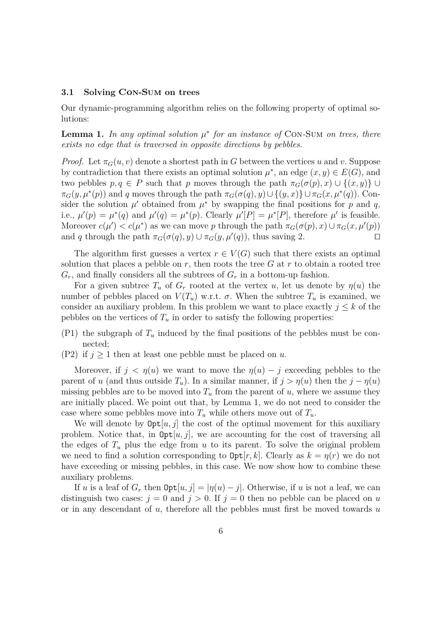## **3.1 Solving** Con**-**Sum **on trees**

Our dynamic-programming algorithm relies on the following property of optimal solutions:

**Lemma 1.** In any optimal solution  $\mu^*$  for an instance of CON-SUM on trees, there *exists no edge that is traversed in opposite directions by pebbles.*

*Proof.* Let  $\pi_G(u, v)$  denote a shortest path in *G* between the vertices *u* and *v*. Suppose by contradiction that there exists an optimal solution  $\mu^*$ , an edge  $(x, y) \in E(G)$ , and two pebbles  $p, q \in P$  such that  $p$  moves through the path  $\pi_G(\sigma(p), x) \cup \{(x, y)\} \cup$  $\pi_G(y, \mu^*(p))$  and *q* moves through the path  $\pi_G(\sigma(q), y) \cup \{(y, x)\} \cup \pi_G(x, \mu^*(q))$ . Consider the solution  $\mu'$  obtained from  $\mu^*$  by swapping the final positions for *p* and *q*, i.e.,  $\mu'(p) = \mu^*(q)$  and  $\mu'(q) = \mu^*(p)$ . Clearly  $\mu'[P] = \mu^*[P]$ , therefore  $\mu'$  is feasible. Moreover  $c(\mu') < c(\mu^*)$  as we can move *p* through the path  $\pi_G(\sigma(p), x) \cup \pi_G(x, \mu'(p))$ and *q* through the path  $\pi_G(\sigma(q), y) \cup \pi_G(y, \mu'(q))$ , thus saving 2.  $\Box$ 

The algorithm first guesses a vertex  $r \in V(G)$  such that there exists an optimal solution that places a pebble on  $r$ , then roots the tree  $G$  at  $r$  to obtain a rooted tree  $G_r$ , and finally considers all the subtrees of  $G_r$  in a bottom-up fashion.

For a given subtree  $T_u$  of  $G_r$  rooted at the vertex *u*, let us denote by  $\eta(u)$  the number of pebbles placed on  $V(T_u)$  w.r.t.  $\sigma$ . When the subtree  $T_u$  is examined, we consider an auxiliary problem. In this problem we want to place exactly  $j \leq k$  of the pebbles on the vertices of  $T_u$  in order to satisfy the following properties:

- $(P1)$  the subgraph of  $T_u$  induced by the final positions of the pebbles must be connected;
- (P2) if  $j \geq 1$  then at least one pebble must be placed on *u*.

Moreover, if  $j < \eta(u)$  we want to move the  $\eta(u) - j$  exceeding pebbles to the parent of *u* (and thus outside  $T_u$ ). In a similar manner, if  $j > \eta(u)$  then the  $j - \eta(u)$ missing pebbles are to be moved into  $T_u$  from the parent of *u*, where we assume they are initially placed. We point out that, by Lemma 1, we do not need to consider the case where some pebbles move into  $T_u$  while others move out of  $T_u$ .

We will denote by  $\text{Opt}[u, j]$  the cost of the optimal movement for this auxiliary problem. Notice that, in  $\text{Opt}[u, j]$ , we are accounting for the cost of traversing all the edges of  $T_u$  plus the edge from  $u$  to its parent. To solve the original problem we need to find a solution corresponding to  $\text{Opt}[r, k]$ . Clearly as  $k = \eta(r)$  we do not have exceeding or missing pebbles, in this case. We now show how to combine these auxiliary problems.

If *u* is a leaf of  $G_r$  then  $\text{Opt}[u, j] = |\eta(u) - j|$ . Otherwise, if *u* is not a leaf, we can distinguish two cases:  $j = 0$  and  $j > 0$ . If  $j = 0$  then no pebble can be placed on *u* or in any descendant of *u*, therefore all the pebbles must first be moved towards *u*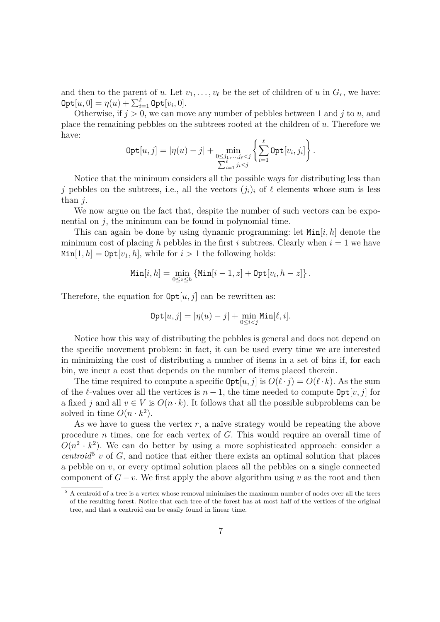and then to the parent of *u*. Let  $v_1, \ldots, v_\ell$  be the set of children of *u* in  $G_r$ , we have:  $\texttt{Opt}[u,0]=\eta(u)+\sum_{i=1}^\ell \texttt{Opt}[v_i,0].$ 

Otherwise, if *j >* 0, we can move any number of pebbles between 1 and *j* to *u*, and place the remaining pebbles on the subtrees rooted at the children of *u*. Therefore we have:

$$
\text{Opt}[u,j] = |\eta(u)-j| + \min_{\substack{0 \leq j_1,\ldots,j_\ell < j \\ \sum_{i=1}^\ell j_i < j}} \left\{ \sum_{i=1}^\ell \text{Opt}[v_i,j_i] \right\}.
$$

Notice that the minimum considers all the possible ways for distributing less than *j* pebbles on the subtrees, i.e., all the vectors  $(j_i)_i$  of  $\ell$  elements whose sum is less than *j*.

We now argue on the fact that, despite the number of such vectors can be exponential on *j*, the minimum can be found in polynomial time.

This can again be done by using dynamic programming: let  $Min[i, h]$  denote the minimum cost of placing h pebbles in the first i subtrees. Clearly when  $i = 1$  we have  $Min[1, h] = Opt[v_1, h]$ , while for  $i > 1$  the following holds:

$$
\texttt{Min}[i,h] = \min_{0 \leq z \leq h} \left\{ \texttt{Min}[i-1,z] + \texttt{Opt}[v_i,h-z] \right\}.
$$

Therefore, the equation for  $\text{Opt}[u, j]$  can be rewritten as:

$$
\texttt{Opt}[u,j]=|\eta(u)-j|+\min_{0\leq i
$$

Notice how this way of distributing the pebbles is general and does not depend on the specific movement problem: in fact, it can be used every time we are interested in minimizing the cost of distributing a number of items in a set of bins if, for each bin, we incur a cost that depends on the number of items placed therein.

The time required to compute a specific  $\text{Opt}[u, j]$  is  $O(\ell \cdot j) = O(\ell \cdot k)$ . As the sum of the  $\ell$ -values over all the vertices is  $n-1$ , the time needed to compute  $\text{Opt}[v, j]$  for a fixed *j* and all  $v \in V$  is  $O(n \cdot k)$ . It follows that all the possible subproblems can be solved in time  $O(n \cdot k^2)$ .

As we have to guess the vertex  $r$ , a naïve strategy would be repeating the above procedure *n* times, one for each vertex of *G*. This would require an overall time of  $O(n^2 \cdot k^2)$ . We can do better by using a more sophisticated approach: consider a *centroid*<sup>5</sup>  $v$  of  $G$ , and notice that either there exists an optimal solution that places a pebble on *v*, or every optimal solution places all the pebbles on a single connected component of  $G - v$ . We first apply the above algorithm using v as the root and then

<sup>&</sup>lt;sup>5</sup> A centroid of a tree is a vertex whose removal minimizes the maximum number of nodes over all the trees of the resulting forest. Notice that each tree of the forest has at most half of the vertices of the original tree, and that a centroid can be easily found in linear time.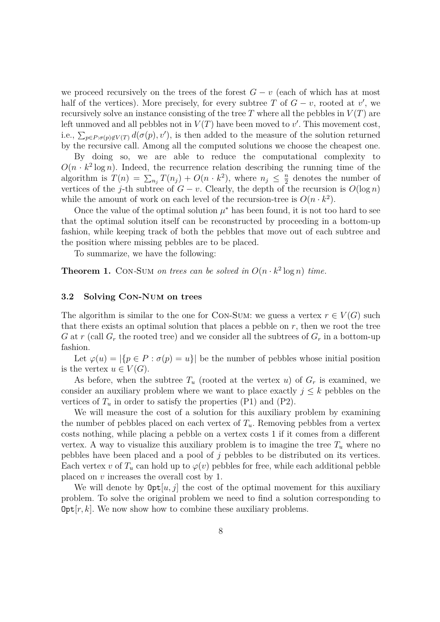we proceed recursively on the trees of the forest  $G - v$  (each of which has at most half of the vertices). More precisely, for every subtree *T* of  $G - v$ , rooted at  $v'$ , we recursively solve an instance consisting of the tree *T* where all the pebbles in  $V(T)$  are left unmoved and all pebbles not in  $V(T)$  have been moved to  $v'$ . This movement cost, i.e.,  $\sum_{p\in P:\sigma(p)\notin V(T)} d(\sigma(p), v')$ , is then added to the measure of the solution returned by the recursive call. Among all the computed solutions we choose the cheapest one.

By doing so, we are able to reduce the computational complexity to  $O(n \cdot k^2 \log n)$ . Indeed, the recurrence relation describing the running time of the algorithm is  $T(n) = \sum_{n_j} T(n_j) + O(n \cdot k^2)$ , where  $n_j \leq \frac{n}{2}$  $\frac{n}{2}$  denotes the number of vertices of the *j*-th subtree of  $G - v$ . Clearly, the depth of the recursion is  $O(\log n)$ while the amount of work on each level of the recursion-tree is  $O(n \cdot k^2)$ .

Once the value of the optimal solution  $\mu^*$  has been found, it is not too hard to see that the optimal solution itself can be reconstructed by proceeding in a bottom-up fashion, while keeping track of both the pebbles that move out of each subtree and the position where missing pebbles are to be placed.

To summarize, we have the following:

**Theorem 1.** CON-SUM on trees can be solved in  $O(n \cdot k^2 \log n)$  time.

# **3.2 Solving** Con**-**Num **on trees**

The algorithm is similar to the one for CON-SUM: we guess a vertex  $r \in V(G)$  such that there exists an optimal solution that places a pebble on *r*, then we root the tree *G* at *r* (call  $G_r$  the rooted tree) and we consider all the subtrees of  $G_r$  in a bottom-up fashion.

Let  $\varphi(u) = |\{p \in P : \sigma(p) = u\}|$  be the number of pebbles whose initial position is the vertex  $u \in V(G)$ .

As before, when the subtree  $T_u$  (rooted at the vertex *u*) of  $G_r$  is examined, we consider an auxiliary problem where we want to place exactly  $j \leq k$  pebbles on the vertices of  $T_u$  in order to satisfy the properties (P1) and (P2).

We will measure the cost of a solution for this auxiliary problem by examining the number of pebbles placed on each vertex of  $T_u$ . Removing pebbles from a vertex costs nothing, while placing a pebble on a vertex costs 1 if it comes from a different vertex. A way to visualize this auxiliary problem is to imagine the tree  $T_u$  where no pebbles have been placed and a pool of *j* pebbles to be distributed on its vertices. Each vertex *v* of  $T_u$  can hold up to  $\varphi(v)$  pebbles for free, while each additional pebble placed on *v* increases the overall cost by 1.

We will denote by  $\text{Opt}[u, j]$  the cost of the optimal movement for this auxiliary problem. To solve the original problem we need to find a solution corresponding to  $\text{Opt}[r, k]$ . We now show how to combine these auxiliary problems.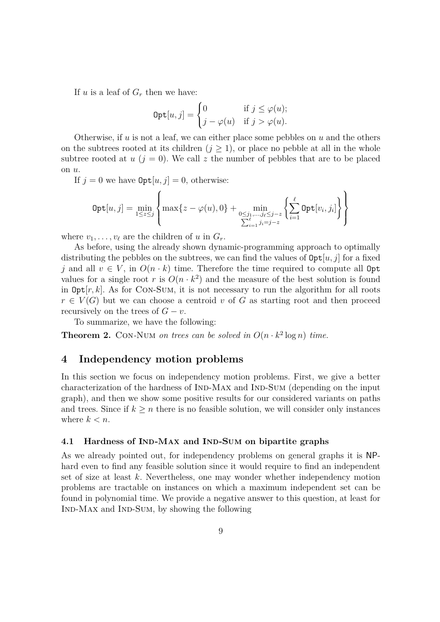If  $u$  is a leaf of  $G_r$  then we have:

$$
\texttt{Opt}[u,j] = \begin{cases} 0 & \text{if } j \leq \varphi(u); \\ j - \varphi(u) & \text{if } j > \varphi(u). \end{cases}
$$

Otherwise, if *u* is not a leaf, we can either place some pebbles on *u* and the others on the subtrees rooted at its children  $(j \geq 1)$ , or place no pebble at all in the whole subtree rooted at  $u$  ( $j = 0$ ). We call z the number of pebbles that are to be placed on *u*.

If  $j = 0$  we have  $\text{Opt}[u, j] = 0$ , otherwise:

$$
\text{Opt}[u,j] = \min_{1 \leq z \leq j} \left\{ \max\{z - \varphi(u), 0\} + \min_{\substack{0 \leq j_1, \dots, j_\ell \leq j-z \\ \sum_{i=1}^\ell j_i = j-z}} \left\{ \sum_{i=1}^\ell \text{Opt}[v_i, j_i] \right\} \right\}
$$

where  $v_1, \ldots, v_\ell$  are the children of *u* in  $G_r$ .

As before, using the already shown dynamic-programming approach to optimally distributing the pebbles on the subtrees, we can find the values of  $\text{Opt}[u, j]$  for a fixed *j* and all  $v \in V$ , in  $O(n \cdot k)$  time. Therefore the time required to compute all Opt values for a single root *r* is  $O(n \cdot k^2)$  and the measure of the best solution is found in  $\text{Opt}[r, k]$ . As for CON-SUM, it is not necessary to run the algorithm for all roots  $r \in V(G)$  but we can choose a centroid *v* of *G* as starting root and then proceed recursively on the trees of  $G - v$ .

To summarize, we have the following:

**Theorem 2.** CON-NUM on trees can be solved in  $O(n \cdot k^2 \log n)$  time.

# **4 Independency motion problems**

In this section we focus on independency motion problems. First, we give a better characterization of the hardness of IND-MAX and IND-SUM (depending on the input graph), and then we show some positive results for our considered variants on paths and trees. Since if  $k \geq n$  there is no feasible solution, we will consider only instances where  $k < n$ .

## **4.1 Hardness of** Ind**-**Max **and** Ind**-**Sum **on bipartite graphs**

As we already pointed out, for independency problems on general graphs it is NPhard even to find any feasible solution since it would require to find an independent set of size at least *k*. Nevertheless, one may wonder whether independency motion problems are tractable on instances on which a maximum independent set can be found in polynomial time. We provide a negative answer to this question, at least for IND-MAX and IND-SUM, by showing the following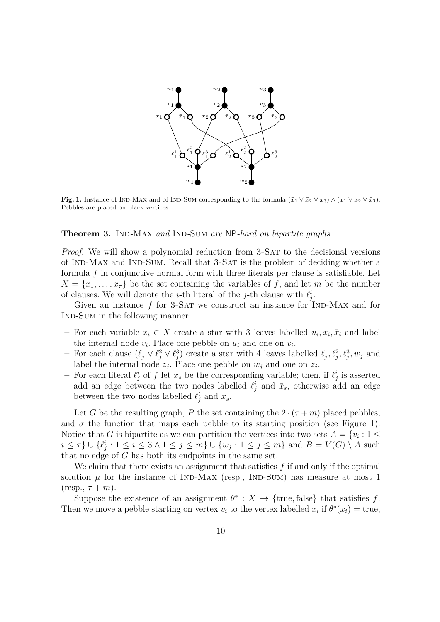

**Fig. 1.** Instance of IND-MAX and of IND-SUM corresponding to the formula  $(\bar{x}_1 \vee \bar{x}_2 \vee x_3) \wedge (x_1 \vee x_2 \vee \bar{x}_3)$ . Pebbles are placed on black vertices.

## **Theorem 3.** Ind*-*Max *and* Ind*-*Sum *are* NP*-hard on bipartite graphs.*

*Proof.* We will show a polynomial reduction from 3-SAT to the decisional versions of IND-MAX and IND-SUM. Recall that 3-SAT is the problem of deciding whether a formula *f* in conjunctive normal form with three literals per clause is satisfiable. Let  $X = \{x_1, \ldots, x_\tau\}$  be the set containing the variables of f, and let m be the number of clauses. We will denote the *i*-th literal of the *j*-th clause with  $\ell_j^i$ .

Given an instance  $f$  for 3-SAT we construct an instance for IND-MAX and for IND-SUM in the following manner:

- **−** For each variable  $x_i \in X$  create a star with 3 leaves labelled  $u_i, x_i, \bar{x}_i$  and label the internal node  $v_i$ . Place one pebble on  $u_i$  and one on  $v_i$ .
- For each clause  $(\ell_j^1 \vee \ell_j^2 \vee \ell_j^3)$  create a star with 4 leaves labelled  $\ell_j^1, \ell_j^2, \ell_j^3, w_j$  and label the internal node  $z_j$ . Place one pebble on  $w_j$  and one on  $z_j$ .
- $\overline{P}$  For each literal  $\ell_j^i$  of  $f$  let  $x_s$  be the corresponding variable; then, if  $\ell_j^i$  is asserted add an edge between the two nodes labelled  $\ell_j^i$  and  $\bar{x}_s$ , otherwise add an edge between the two nodes labelled  $\ell_j^i$  and  $x_s$ .

Let *G* be the resulting graph, *P* the set containing the  $2 \cdot (7 + m)$  placed pebbles, and  $\sigma$  the function that maps each pebble to its starting position (see Figure 1). Notice that *G* is bipartite as we can partition the vertices into two sets  $A = \{v_i : 1 \leq i \leq n : 1 \leq j \leq n\}$  $i \leq \tau$   $\} \cup \{ \ell_j^i : 1 \leq i \leq 3 \land 1 \leq j \leq m \} \cup \{ w_j : 1 \leq j \leq m \}$  and  $B = V(G) \setminus A$  such that no edge of *G* has both its endpoints in the same set.

We claim that there exists an assignment that satisfies *f* if and only if the optimal solution  $\mu$  for the instance of IND-MAX (resp., IND-SUM) has measure at most 1  $(\text{resp., } \tau + m).$ 

Suppose the existence of an assignment  $\theta^*$  :  $X \to \{\text{true}, \text{false}\}\$  that satisfies f. Then we move a pebble starting on vertex  $v_i$  to the vertex labelled  $x_i$  if  $\theta^*(x_i) = \text{true}$ ,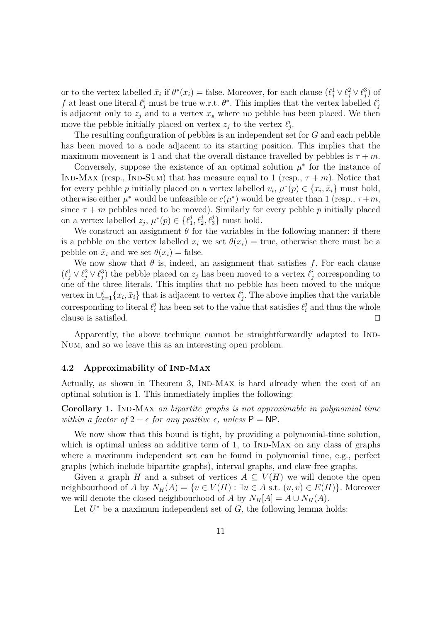or to the vertex labelled  $\bar{x}_i$  if  $\theta^*(x_i) = \text{false}$ . Moreover, for each clause  $(\ell_j^1 \vee \ell_j^2 \vee \ell_j^3)$  of *f* at least one literal  $\ell_j^i$  must be true w.r.t.  $\theta^*$ . This implies that the vertex labelled  $\ell_j^i$ is adjacent only to  $z_j$  and to a vertex  $x_s$  where no pebble has been placed. We then move the pebble initially placed on vertex  $z_j$  to the vertex  $\ell_j^i$ .

The resulting configuration of pebbles is an independent set for *G* and each pebble has been moved to a node adjacent to its starting position. This implies that the maximum movement is 1 and that the overall distance travelled by pebbles is  $\tau + m$ .

Conversely, suppose the existence of an optimal solution  $\mu^*$  for the instance of IND-MAX (resp., IND-SUM) that has measure equal to 1 (resp.,  $\tau + m$ ). Notice that for every pebble *p* initially placed on a vertex labelled  $v_i$ ,  $\mu^*(p) \in \{x_i, \bar{x}_i\}$  must hold, otherwise either  $\mu^*$  would be unfeasible or  $c(\mu^*)$  would be greater than 1 (resp.,  $\tau + m$ , since  $\tau + m$  pebbles need to be moved). Similarly for every pebble p initially placed on a vertex labelled  $z_j$ ,  $\mu^*(p) \in {\ell_1^j}$  $\{\ell_1^j, \ell_2^j, \ell_3^j\}$  must hold.

We construct an assignment  $\theta$  for the variables in the following manner: if there is a pebble on the vertex labelled  $x_i$  we set  $\theta(x_i)$  = true, otherwise there must be a pebble on  $\bar{x}_i$  and we set  $\theta(x_i)$  = false.

We now show that  $\theta$  is, indeed, an assignment that satisfies  $f$ . For each clause  $(\ell_j^1 \vee \ell_j^2 \vee \ell_j^3)$  the pebble placed on  $z_j$  has been moved to a vertex  $\ell_j^i$  corresponding to one of the three literals. This implies that no pebble has been moved to the unique vertex in  $\cup_{i=1}^t \{x_i, \bar{x}_i\}$  that is adjacent to vertex  $\ell_j^i$ . The above implies that the variable corresponding to literal  $\ell_i^j$  has been set to the value that satisfies  $\ell_i^j$  and thus the whole clause is satisfied. *⊓⊔*

Apparently, the above technique cannot be straightforwardly adapted to IND-Num, and so we leave this as an interesting open problem.

## **4.2** Approximability of IND-MAX

Actually, as shown in Theorem 3, IND-MAX is hard already when the cost of an optimal solution is 1. This immediately implies the following:

**Corollary 1.** Ind*-*Max *on bipartite graphs is not approximable in polynomial time within a factor of*  $2 - \epsilon$  *for any positive*  $\epsilon$ *, unless*  $P = NP$ *.* 

We now show that this bound is tight, by providing a polynomial-time solution, which is optimal unless an additive term of 1, to  $\text{IND-MAX}$  on any class of graphs where a maximum independent set can be found in polynomial time, e.g., perfect graphs (which include bipartite graphs), interval graphs, and claw-free graphs.

Given a graph *H* and a subset of vertices  $A \subseteq V(H)$  we will denote the open neighbourhood of *A* by  $N_H(A) = \{v \in V(H) : \exists u \in A \text{ s.t. } (u, v) \in E(H)\}\.$  Moreover we will denote the closed neighbourhood of *A* by  $N_H[A] = A \cup N_H(A)$ .

Let  $U^*$  be a maximum independent set of  $G$ , the following lemma holds: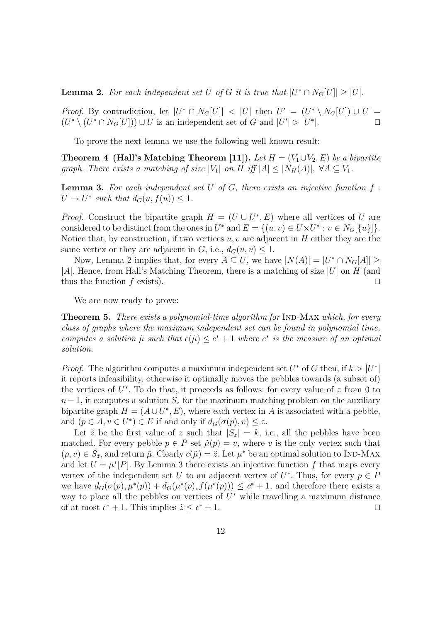**Lemma 2.** For each independent set U of G it is true that  $|U^* \cap N_G[U]| \geq |U|$ .

*Proof.* By contradiction, let  $|U^* \cap N_G[U]| \langle |U|$  then  $U' = (U^* \setminus N_G[U]) \cup U$  $(U^* \setminus (U^* \cap N_G[U])) \cup U$  is an independent set of *G* and  $|U'| > |U^*|$ *|*. *⊓⊔*

To prove the next lemma we use the following well known result:

**Theorem 4 (Hall's Matching Theorem [11]).** *Let*  $H = (V_1 \cup V_2, E)$  *be a bipartite graph. There exists a matching of size*  $|V_1|$  *on*  $H$  *iff*  $|A| \leq |N_H(A)|$ ,  $\forall A \subseteq V_1$ .

**Lemma 3.** *For each independent set U of G, there exists an injective function f* :  $U \rightarrow U^*$  *such that*  $d_G(u, f(u)) \leq 1$ *.* 

*Proof.* Construct the bipartite graph  $H = (U \cup U^*, E)$  where all vertices of *U* are considered to be distinct from the ones in  $U^*$  and  $E = \{(u, v) \in U \times U^* : v \in N_G[\{u\}]\}.$ Notice that, by construction, if two vertices *u, v* are adjacent in *H* either they are the same vertex or they are adjacent in *G*, i.e.,  $d_G(u, v) \leq 1$ .

Now, Lemma 2 implies that, for every  $A \subseteq U$ , we have  $|N(A)| = |U^* \cap N_G[A]| \ge$ *|A|*. Hence, from Hall's Matching Theorem, there is a matching of size *|U|* on *H* (and thus the function *f* exists). *⊓⊔*

We are now ready to prove:

**Theorem 5.** *There exists a polynomial-time algorithm for* IND-MAX *which, for every class of graphs where the maximum independent set can be found in polynomial time, computes a solution*  $\tilde{\mu}$  *such that*  $c(\tilde{\mu}) \leq c^* + 1$  *where*  $c^*$  *is the measure of an optimal solution.*

*Proof.* The algorithm computes a maximum independent set  $U^*$  of  $G$  then, if  $k > |U^*|$ it reports infeasibility, otherwise it optimally moves the pebbles towards (a subset of) the vertices of  $U^*$ . To do that, it proceeds as follows: for every value of  $z$  from 0 to  $n-1$ , it computes a solution  $S_z$  for the maximum matching problem on the auxiliary bipartite graph  $H = (A \cup U^*, E)$ , where each vertex in *A* is associated with a pebble, and  $(p \in A, v \in U^*) \in E$  if and only if  $d_G(\sigma(p), v) \leq z$ .

Let  $\tilde{z}$  be the first value of  $z$  such that  $|S_z| = k$ , i.e., all the pebbles have been matched. For every pebble  $p \in P$  set  $\tilde{\mu}(p) = v$ , where *v* is the only vertex such that  $(p, v) \in S_{\tilde{z}}$ , and return  $\tilde{\mu}$ . Clearly  $c(\tilde{\mu}) = \tilde{z}$ . Let  $\mu^*$  be an optimal solution to IND-MAX and let  $U = \mu^*[P]$ . By Lemma 3 there exists an injective function f that maps every vertex of the independent set *U* to an adjacent vertex of  $U^*$ . Thus, for every  $p \in P$ we have  $d_G(\sigma(p), \mu^*(p)) + d_G(\mu^*(p), f(\mu^*(p))) \le c^* + 1$ , and therefore there exists a way to place all the pebbles on vertices of  $U^*$  while travelling a maximum distance of at most  $c^* + 1$ . This implies  $\tilde{z} \leq c^* + 1$ . □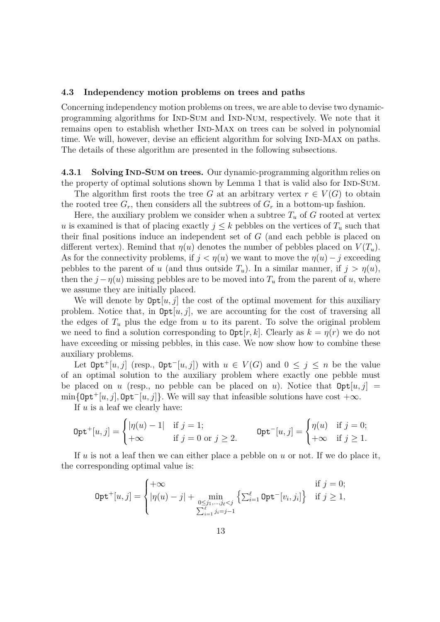## **4.3 Independency motion problems on trees and paths**

Concerning independency motion problems on trees, we are able to devise two dynamicprogramming algorithms for IND-SUM and IND-NUM, respectively. We note that it remains open to establish whether IND-MAX on trees can be solved in polynomial time. We will, however, devise an efficient algorithm for solving IND-MAX on paths. The details of these algorithm are presented in the following subsections.

# **4.3.1 Solving IND-SUM on trees.** Our dynamic-programming algorithm relies on the property of optimal solutions shown by Lemma 1 that is valid also for IND-SUM.

The algorithm first roots the tree *G* at an arbitrary vertex  $r \in V(G)$  to obtain the rooted tree  $G_r$ , then considers all the subtrees of  $G_r$  in a bottom-up fashion.

Here, the auxiliary problem we consider when a subtree  $T_u$  of G rooted at vertex *u* is examined is that of placing exactly  $j \leq k$  pebbles on the vertices of  $T_u$  such that their final positions induce an independent set of *G* (and each pebble is placed on different vertex). Remind that  $\eta(u)$  denotes the number of pebbles placed on  $V(T_u)$ . As for the connectivity problems, if  $j < \eta(u)$  we want to move the  $\eta(u) - j$  exceeding pebbles to the parent of *u* (and thus outside  $T_u$ ). In a similar manner, if  $j > \eta(u)$ , then the  $j - \eta(u)$  missing pebbles are to be moved into  $T_u$  from the parent of *u*, where we assume they are initially placed.

We will denote by  $\text{Opt}[u, j]$  the cost of the optimal movement for this auxiliary problem. Notice that, in  $\text{Opt}[u, j]$ , we are accounting for the cost of traversing all the edges of  $T_u$  plus the edge from  $u$  to its parent. To solve the original problem we need to find a solution corresponding to  $\text{Opt}[r, k]$ . Clearly as  $k = \eta(r)$  we do not have exceeding or missing pebbles, in this case. We now show how to combine these auxiliary problems.

Let  $\text{Opt}^+[u, j]$  (resp.,  $\text{Opt}^-[u, j]$ ) with  $u \in V(G)$  and  $0 \leq j \leq n$  be the value of an optimal solution to the auxiliary problem where exactly one pebble must be placed on *u* (resp., no pebble can be placed on *u*). Notice that  $\text{Opt}[u, j] =$ min*{*Opt<sup>+</sup>[*u, j*]*,* Opt*<sup>−</sup>*[*u, j*]*}*. We will say that infeasible solutions have cost +*∞*.

If *u* is a leaf we clearly have:

$$
\text{Opt}^+[u,j] = \begin{cases} |\eta(u)-1| & \text{if } j=1; \\ +\infty & \text{if } j=0 \text{ or } j \ge 2. \end{cases} \qquad \text{Opt}^-[u,j] = \begin{cases} \eta(u) & \text{if } j=0; \\ +\infty & \text{if } j \ge 1. \end{cases}
$$

If *u* is not a leaf then we can either place a pebble on *u* or not. If we do place it, the corresponding optimal value is:

$$
\text{Opt}^+[u,j] = \begin{cases} +\infty & \text{if } j = 0; \\ |\eta(u)-j| + \min_{\substack{0 \le j_1,\dots,j_\ell < j \\ \sum_{i=1}^\ell j_i = j-1}} \left\{ \sum_{i=1}^\ell \text{Opt}^-[v_i,j_i] \right\} & \text{if } j \ge 1, \end{cases}
$$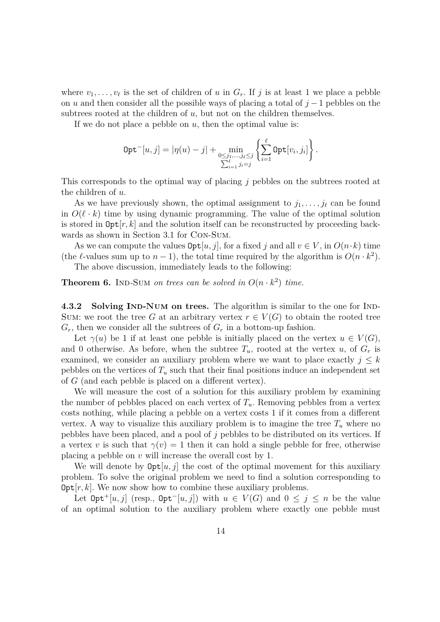where  $v_1, \ldots, v_\ell$  is the set of children of *u* in  $G_r$ . If *j* is at least 1 we place a pebble on *u* and then consider all the possible ways of placing a total of *j −* 1 pebbles on the subtrees rooted at the children of *u*, but not on the children themselves.

If we do not place a pebble on *u*, then the optimal value is:

$$
\texttt{Opt}^-[u,j]=|\eta(u)-j|+\min_{\substack{0\leq j_1,\ldots,j_\ell\leq j\\ \sum_{i=1}^\ell j_i=j}}\left\{\sum_{i=1}^\ell \texttt{Opt}[v_i,j_i]\right\}.
$$

This corresponds to the optimal way of placing *j* pebbles on the subtrees rooted at the children of *u*.

As we have previously shown, the optimal assignment to  $j_1, \ldots, j_\ell$  can be found in  $O(\ell \cdot k)$  time by using dynamic programming. The value of the optimal solution is stored in  $\text{Opt}[r, k]$  and the solution itself can be reconstructed by proceeding backwards as shown in Section 3.1 for Con-Sum.

As we can compute the values  $\text{Opt}[u, j]$ , for a fixed *j* and all  $v \in V$ , in  $O(n \cdot k)$  time (the *ℓ*-values sum up to  $n-1$ ), the total time required by the algorithm is  $O(n \cdot k^2)$ .

The above discussion, immediately leads to the following:

**Theorem 6.** IND-SUM on trees can be solved in  $O(n \cdot k^2)$  time.

**4.3.2 Solving IND-NUM on trees.** The algorithm is similar to the one for IND-SUM: we root the tree *G* at an arbitrary vertex  $r \in V(G)$  to obtain the rooted tree  $G_r$ , then we consider all the subtrees of  $G_r$  in a bottom-up fashion.

Let  $\gamma(u)$  be 1 if at least one pebble is initially placed on the vertex  $u \in V(G)$ , and 0 otherwise. As before, when the subtree  $T_u$ , rooted at the vertex *u*, of  $G_r$  is examined, we consider an auxiliary problem where we want to place exactly  $j \leq k$ pebbles on the vertices of  $T_u$  such that their final positions induce an independent set of *G* (and each pebble is placed on a different vertex).

We will measure the cost of a solution for this auxiliary problem by examining the number of pebbles placed on each vertex of  $T_u$ . Removing pebbles from a vertex costs nothing, while placing a pebble on a vertex costs 1 if it comes from a different vertex. A way to visualize this auxiliary problem is to imagine the tree  $T_u$  where no pebbles have been placed, and a pool of *j* pebbles to be distributed on its vertices. If a vertex *v* is such that  $\gamma(v) = 1$  then it can hold a single pebble for free, otherwise placing a pebble on *v* will increase the overall cost by 1.

We will denote by  $\text{Opt}[u, j]$  the cost of the optimal movement for this auxiliary problem. To solve the original problem we need to find a solution corresponding to  $\text{Opt}[r, k]$ . We now show how to combine these auxiliary problems.

Let  $\text{Opt}^+[u, j]$  (resp.,  $\text{Opt}^-[u, j]$ ) with  $u \in V(G)$  and  $0 \leq j \leq n$  be the value of an optimal solution to the auxiliary problem where exactly one pebble must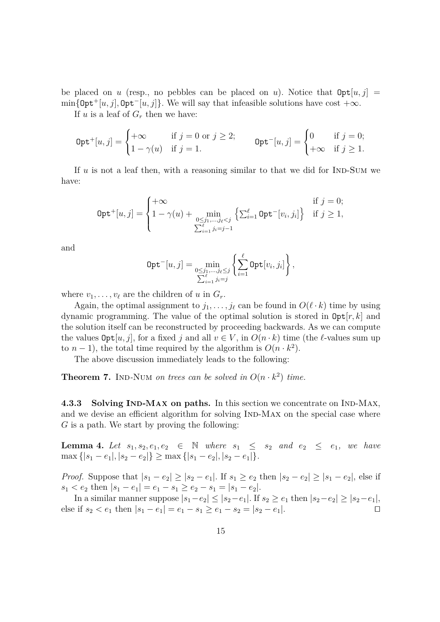be placed on *u* (resp., no pebbles can be placed on *u*). Notice that  $\text{Opt}[u, j] =$ min*{*Opt<sup>+</sup>[*u, j*]*,* Opt*<sup>−</sup>*[*u, j*]*}*. We will say that infeasible solutions have cost +*∞*.

If *u* is a leaf of  $G_r$  then we have:

$$
\text{Opt}^+[u,j] = \begin{cases} +\infty & \text{if } j = 0 \text{ or } j \ge 2; \\ 1 - \gamma(u) & \text{if } j = 1. \end{cases} \qquad \text{Opt}^-[u,j] = \begin{cases} 0 & \text{if } j = 0; \\ +\infty & \text{if } j \ge 1. \end{cases}
$$

If *u* is not a leaf then, with a reasoning similar to that we did for IND-SUM we have:

$$
\text{Opt}^+[u,j] = \begin{cases} +\infty & \text{if } j = 0; \\ 1-\gamma(u)+\min\limits_{\substack{0 \leq j_1,\ldots,j_\ell < j \\ \sum_{i=1}^\ell j_i = j-1}} \left\{ \sum_{i=1}^\ell \text{Opt}^-[v_i,j_i] \right\} & \text{if } j \geq 1, \end{cases}
$$

and

$$
\text{Opt}^{-}[u,j] = \min_{\substack{0 \leq j_1,\dots,j_\ell \leq j \\ \sum_{i=1}^\ell j_i = j}} \left\{ \sum_{i=1}^\ell \text{Opt}[v_i,j_i] \right\},\,
$$

where  $v_1, \ldots, v_\ell$  are the children of *u* in  $G_r$ .

Again, the optimal assignment to  $j_1, \ldots, j_\ell$  can be found in  $O(\ell \cdot k)$  time by using dynamic programming. The value of the optimal solution is stored in Opt[*r, k*] and the solution itself can be reconstructed by proceeding backwards. As we can compute the values  $\text{Opt}[u, j]$ , for a fixed *j* and all  $v \in V$ , in  $O(n \cdot k)$  time (the  $\ell$ -values sum up to  $n-1$ ), the total time required by the algorithm is  $O(n \cdot k^2)$ .

The above discussion immediately leads to the following:

**Theorem 7.** IND-NUM on trees can be solved in  $O(n \cdot k^2)$  time.

**4.3.3 Solving IND-MAX on paths.** In this section we concentrate on IND-MAX, and we devise an efficient algorithm for solving IND-MAX on the special case where *G* is a path. We start by proving the following:

**Lemma 4.** Let  $s_1, s_2, e_1, e_2 \in \mathbb{N}$  where  $s_1 \leq s_2$  and  $e_2 \leq e_1$ , we have  $\max \{|s_1 - e_1|, |s_2 - e_2|\} \ge \max \{|s_1 - e_2|, |s_2 - e_1|\}.$ 

*Proof.* Suppose that  $|s_1 - e_2| \ge |s_2 - e_1|$ . If  $s_1 \ge e_2$  then  $|s_2 - e_2| \ge |s_1 - e_2|$ , else if  $s_1 < e_2$  then  $|s_1 - e_1| = e_1 - s_1 \ge e_2 - s_1 = |s_1 - e_2|$ .

In a similar manner suppose  $|s_1 - e_2| \leq |s_2 - e_1|$ . If  $s_2 \geq e_1$  then  $|s_2 - e_2| \geq |s_2 - e_1|$ , else if  $s_2 < e_1$  then  $|s_1 - e_1| = e_1 - s_1 \ge e_1 - s_2 = |s_2 - e_1|$ .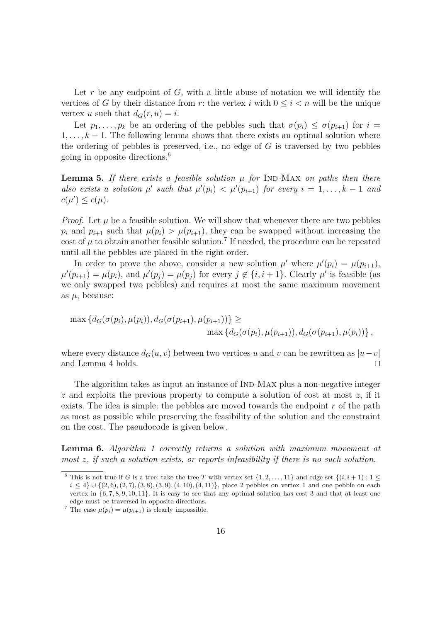Let  $r$  be any endpoint of  $G$ , with a little abuse of notation we will identify the vertices of *G* by their distance from *r*: the vertex *i* with  $0 \leq i \leq n$  will be the unique vertex *u* such that  $d_G(r, u) = i$ .

Let  $p_1, \ldots, p_k$  be an ordering of the pebbles such that  $\sigma(p_i) \leq \sigma(p_{i+1})$  for  $i =$ 1*, . . . , k −* 1. The following lemma shows that there exists an optimal solution where the ordering of pebbles is preserved, i.e., no edge of *G* is traversed by two pebbles going in opposite directions.<sup>6</sup>

**Lemma 5.** If there exists a feasible solution  $\mu$  for IND-MAX on paths then there *also exists a solution*  $\mu'$  *such that*  $\mu'(p_i) < \mu'(p_{i+1})$  *for every*  $i = 1, \ldots, k - 1$  *and*  $c(\mu') \leq c(\mu)$ .

*Proof.* Let  $\mu$  be a feasible solution. We will show that whenever there are two pebbles  $p_i$  and  $p_{i+1}$  such that  $\mu(p_i) > \mu(p_{i+1})$ , they can be swapped without increasing the cost of  $\mu$  to obtain another feasible solution.<sup>7</sup> If needed, the procedure can be repeated until all the pebbles are placed in the right order.

In order to prove the above, consider a new solution  $\mu'$  where  $\mu'(p_i) = \mu(p_{i+1}),$  $\mu'(p_{i+1}) = \mu(p_i)$ , and  $\mu'(p_j) = \mu(p_j)$  for every  $j \notin \{i, i+1\}$ . Clearly  $\mu'$  is feasible (as we only swapped two pebbles) and requires at most the same maximum movement as *µ*, because:

$$
\max \{ d_G(\sigma(p_i), \mu(p_i)), d_G(\sigma(p_{i+1}), \mu(p_{i+1})) \} \ge \max \{ d_G(\sigma(p_i), \mu(p_{i+1})), d_G(\sigma(p_{i+1}), \mu(p_i)) \},\
$$

where every distance  $d_G(u, v)$  between two vertices *u* and *v* can be rewritten as  $|u - v|$ and Lemma 4 holds. *⊓⊔*

The algorithm takes as input an instance of IND-MAX plus a non-negative integer *z* and exploits the previous property to compute a solution of cost at most *z*, if it exists. The idea is simple: the pebbles are moved towards the endpoint *r* of the path as most as possible while preserving the feasibility of the solution and the constraint on the cost. The pseudocode is given below.

**Lemma 6.** *Algorithm 1 correctly returns a solution with maximum movement at most z, if such a solution exists, or reports infeasibility if there is no such solution.*

<sup>&</sup>lt;sup>6</sup> This is not true if *G* is a tree: take the tree *T* with vertex set  $\{1, 2, ..., 11\}$  and edge set  $\{(i, i + 1) : 1 \leq j \leq n\}$ *i* ≤ 4*}* ∪ {(2*,* 6*),*(2*,* 7*),*(3*,* 8*),*(3*,* 9*),*(4*,* 10*),*(4*,* 11)*},* place 2 pebbles on vertex 1 and one pebble on each vertex in *{*6*,* 7*,* 8*,* 9*,* 10*,* 11*}*. It is easy to see that any optimal solution has cost 3 and that at least one edge must be traversed in opposite directions.

<sup>&</sup>lt;sup>7</sup> The case  $\mu(p_i) = \mu(p_{i+1})$  is clearly impossible.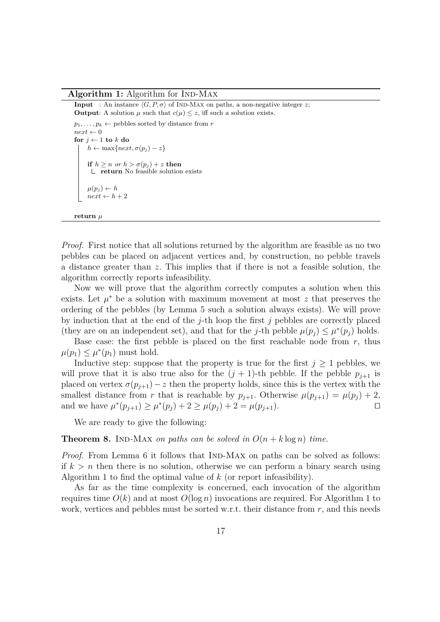#### **Algorithm 1:** Algorithm for IND-MAX

**return** *µ*

**Input** : An instance  $\langle G, P, \sigma \rangle$  of IND-MAX on paths, a non-negative integer *z*; **Output:** A solution  $\mu$  such that  $c(\mu) \leq z$ , iff such a solution exists.  $p_1, \ldots, p_k \leftarrow$  pebbles sorted by distance from *r*  $next \leftarrow 0$ for  $j \leftarrow 1$  to  $k$  do  $h \leftarrow \max\{next, \sigma(p_j) - z\}$ **if**  $h \geq n$  *or*  $h > \sigma(p_j) + z$  **then return** No feasible solution exists  $\mu(p_i) \leftarrow h$  $next \leftarrow h + 2$ 

# *Proof.* First notice that all solutions returned by the algorithm are feasible as no two

pebbles can be placed on adjacent vertices and, by construction, no pebble travels a distance greater than *z*. This implies that if there is not a feasible solution, the algorithm correctly reports infeasibility.

Now we will prove that the algorithm correctly computes a solution when this exists. Let  $\mu^*$  be a solution with maximum movement at most  $z$  that preserves the ordering of the pebbles (by Lemma 5 such a solution always exists). We will prove by induction that at the end of the *j*-th loop the first *j* pebbles are correctly placed (they are on an independent set), and that for the *j*-th pebble  $\mu(p_j) \leq \mu^*(p_j)$  holds.

Base case: the first pebble is placed on the first reachable node from *r*, thus  $\mu(p_1) \leq \mu^*(p_1)$  must hold.

Inductive step: suppose that the property is true for the first  $j \geq 1$  pebbles, we will prove that it is also true also for the  $(j + 1)$ -th pebble. If the pebble  $p_{j+1}$  is placed on vertex  $\sigma(p_{i+1})$  − *z* then the property holds, since this is the vertex with the smallest distance from *r* that is reachable by  $p_{j+1}$ . Otherwise  $\mu(p_{j+1}) = \mu(p_j) + 2$ , and we have  $\mu^*(p_{j+1}) \ge \mu^*(p_j) + 2 \ge \mu(p_j) + 2 = \mu(p_{j+1}).$ 

We are ready to give the following:

## **Theorem 8.** IND-MAX *on paths can be solved in*  $O(n + k \log n)$  *time.*

*Proof.* From Lemma 6 it follows that IND-MAX on paths can be solved as follows: if  $k > n$  then there is no solution, otherwise we can perform a binary search using Algorithm 1 to find the optimal value of *k* (or report infeasibility).

As far as the time complexity is concerned, each invocation of the algorithm requires time  $O(k)$  and at most  $O(\log n)$  invocations are required. For Algorithm 1 to work, vertices and pebbles must be sorted w.r.t. their distance from *r*, and this needs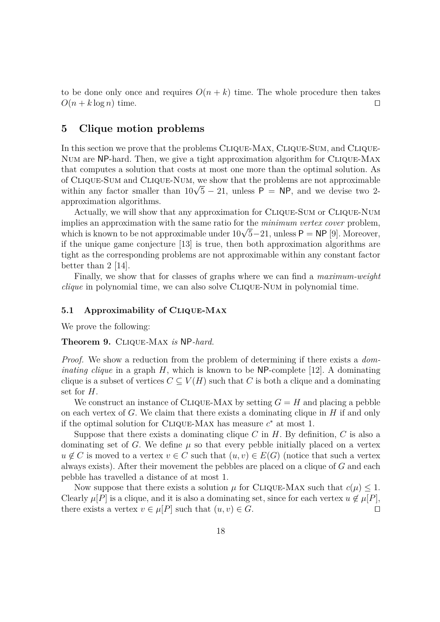to be done only once and requires  $O(n + k)$  time. The whole procedure then takes  $O(n + k \log n)$  time.  $□$ 

# **5 Clique motion problems**

In this section we prove that the problems Clique-Max, Clique-Sum, and Clique-Num are NP-hard. Then, we give a tight approximation algorithm for Clique-Max that computes a solution that costs at most one more than the optimal solution. As of Clique-Sum and Clique-Num, we show that the problems are not approximable of CLIQUE-SUM and CLIQUE-NUM, we show that the problems are not approximable within any factor smaller than  $10\sqrt{5} - 21$ , unless P = NP, and we devise two 2approximation algorithms.

Actually, we will show that any approximation for Clique-Sum or Clique-Num implies an approximation with the same ratio for the *minimum vertex cover* problem, which is known to be not approximable under <sup>10</sup>*<sup>√</sup>* 5*−*21, unless P = NP [9]. Moreover, if the unique game conjecture [13] is true, then both approximation algorithms are tight as the corresponding problems are not approximable within any constant factor better than 2 [14].

Finally, we show that for classes of graphs where we can find a *maximum-weight clique* in polynomial time, we can also solve CLIQUE-NUM in polynomial time.

# **5.1 Approximability of** Clique**-**Max

We prove the following:

**Theorem 9.** Clique*-*Max *is* NP*-hard.*

*Proof.* We show a reduction from the problem of determining if there exists a *dominating clique* in a graph *H*, which is known to be NP-complete [12]. A dominating clique is a subset of vertices  $C \subseteq V(H)$  such that *C* is both a clique and a dominating set for *H*.

We construct an instance of CLIQUE-MAX by setting  $G = H$  and placing a pebble on each vertex of *G*. We claim that there exists a dominating clique in *H* if and only if the optimal solution for CLIQUE-MAX has measure  $c^*$  at most 1.

Suppose that there exists a dominating clique  $C$  in  $H$ . By definition,  $C$  is also a dominating set of *G*. We define  $\mu$  so that every pebble initially placed on a vertex *u* ∉ *C* is moved to a vertex  $v \in C$  such that  $(u, v) \in E(G)$  (notice that such a vertex always exists). After their movement the pebbles are placed on a clique of *G* and each pebble has travelled a distance of at most 1.

Now suppose that there exists a solution  $\mu$  for CLIQUE-MAX such that  $c(\mu) \leq 1$ . Clearly  $\mu[P]$  is a clique, and it is also a dominating set, since for each vertex  $u \notin \mu[P]$ , there exists a vertex  $v \in \mu[P]$  such that  $(u, v) \in G$ .  $\Box$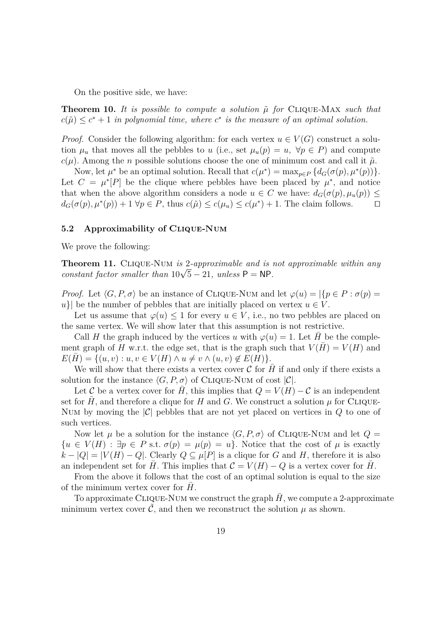On the positive side, we have:

**Theorem 10.** It is possible to compute a solution  $\tilde{\mu}$  for CLIQUE-MAX such that  $c(\tilde{\mu}) \leq c^* + 1$  *in polynomial time, where*  $c^*$  *is the measure of an optimal solution.* 

*Proof.* Consider the following algorithm: for each vertex  $u \in V(G)$  construct a solution  $\mu_u$  that moves all the pebbles to *u* (i.e., set  $\mu_u(p) = u$ ,  $\forall p \in P$ ) and compute  $c(\mu)$ . Among the *n* possible solutions choose the one of minimum cost and call it  $\tilde{\mu}$ .

Now, let  $\mu^*$  be an optimal solution. Recall that  $c(\mu^*) = \max_{p \in P} \{ d_G(\sigma(p), \mu^*(p)) \}.$ Let  $C = \mu^*$ [P] be the clique where pebbles have been placed by  $\mu^*$ , and notice that when the above algorithm considers a node  $u \in C$  we have:  $d_G(\sigma(p), \mu_u(p)) \leq$  $d_G(\sigma(p), \mu^*(p)) + 1 \,\forall p \in P$ , thus  $c(\tilde{\mu}) \leq c(\mu_u) \leq c(\mu^*) + 1$ . The claim follows.  $\Box$ 

## **5.2 Approximability of** Clique**-**Num

We prove the following:

**Theorem 11.** Clique*-*Num *is* 2*-approximable and is not approximable within any constant factor smaller than*  $10\sqrt{5} - 21$ *, unless*  $P = NP$ *.* 

*Proof.* Let  $\langle G, P, \sigma \rangle$  be an instance of CLIQUE-NUM and let  $\varphi(u) = |\{p \in P : \sigma(p) =$ *u*<sup>}</sup> be the number of pebbles that are initially placed on vertex  $u \in V$ .

Let us assume that  $\varphi(u) \leq 1$  for every  $u \in V$ , i.e., no two pebbles are placed on the same vertex. We will show later that this assumption is not restrictive.

Call *H* the graph induced by the vertices *u* with  $\varphi(u) = 1$ . Let *H* be the complement graph of *H* w.r.t. the edge set, that is the graph such that  $V(H) = V(H)$  and  $E(H) = \{(u, v) : u, v \in V(H) \land u \neq v \land (u, v) \notin E(H)\}.$ 

We will show that there exists a vertex cover  $\mathcal C$  for  $H$  if and only if there exists a solution for the instance  $\langle G, P, \sigma \rangle$  of CLIQUE-NUM of cost  $|\mathcal{C}|$ .

Let *C* be a vertex cover for *H*, this implies that  $Q = V(H) - C$  is an independent set for *H*, and therefore a clique for *H* and *G*. We construct a solution  $\mu$  for CLIQUE-Num by moving the *|C|* pebbles that are not yet placed on vertices in *Q* to one of such vertices.

Now let  $\mu$  be a solution for the instance  $\langle G, P, \sigma \rangle$  of CLIQUE-NUM and let  $Q =$ *{u* ∈ *V*(*H*) : *∃p* ∈ *P* s.t.  $\sigma(p) = \mu(p) = u$ }. Notice that the cost of  $\mu$  is exactly  $k - |Q| = |V(H) - Q|$ . Clearly  $Q \subseteq \mu[P]$  is a clique for *G* and *H*, therefore it is also an independent set for *H*. This implies that  $C = V(H) - Q$  is a vertex cover for *H*.

From the above it follows that the cost of an optimal solution is equal to the size of the minimum vertex cover for  $H$ .

To approximate CLIQUE-NUM we construct the graph  $\bar{H}$ , we compute a 2-approximate minimum vertex cover  $\tilde{\mathcal{C}}$ , and then we reconstruct the solution  $\mu$  as shown.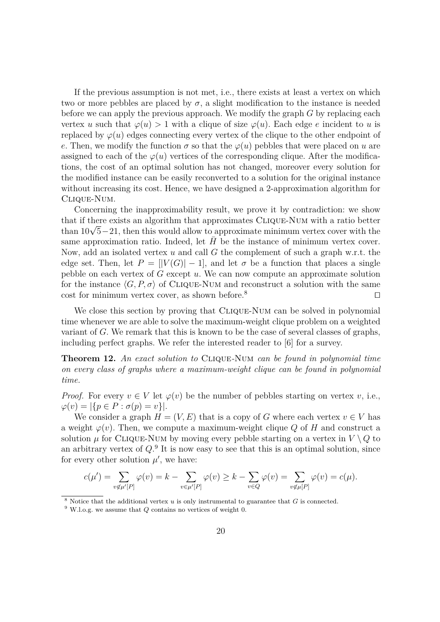If the previous assumption is not met, i.e., there exists at least a vertex on which two or more pebbles are placed by  $\sigma$ , a slight modification to the instance is needed before we can apply the previous approach. We modify the graph *G* by replacing each vertex *u* such that  $\varphi(u) > 1$  with a clique of size  $\varphi(u)$ . Each edge *e* incident to *u* is replaced by  $\varphi(u)$  edges connecting every vertex of the clique to the other endpoint of *e*. Then, we modify the function  $\sigma$  so that the  $\varphi(u)$  pebbles that were placed on *u* are assigned to each of the  $\varphi(u)$  vertices of the corresponding clique. After the modifications, the cost of an optimal solution has not changed, moreover every solution for the modified instance can be easily reconverted to a solution for the original instance without increasing its cost. Hence, we have designed a 2-approximation algorithm for Clique-Num.

Concerning the inapproximability result, we prove it by contradiction: we show that if there exists an algorithm that approximates Clique-Num with a ratio better than <sup>10</sup>*<sup>√</sup>* 5*−*21, then this would allow to approximate minimum vertex cover with the same approximation ratio. Indeed, let  $H$  be the instance of minimum vertex cover. Now, add an isolated vertex *u* and call *G* the complement of such a graph w.r.t. the edge set. Then, let  $P = |V(G)| - 1$ , and let  $\sigma$  be a function that places a single pebble on each vertex of *G* except *u*. We can now compute an approximate solution for the instance  $\langle G, P, \sigma \rangle$  of CLIQUE-NUM and reconstruct a solution with the same cost for minimum vertex cover, as shown before.<sup>8</sup> *⊓⊔*

We close this section by proving that CLIQUE-NUM can be solved in polynomial time whenever we are able to solve the maximum-weight clique problem on a weighted variant of *G*. We remark that this is known to be the case of several classes of graphs, including perfect graphs. We refer the interested reader to [6] for a survey.

**Theorem 12.** *An exact solution to* Clique*-*Num *can be found in polynomial time on every class of graphs where a maximum-weight clique can be found in polynomial time.*

*Proof.* For every  $v \in V$  let  $\varphi(v)$  be the number of pebbles starting on vertex *v*, i.e.,  $\varphi(v) = |\{p \in P : \sigma(p) = v\}|.$ 

We consider a graph  $H = (V, E)$  that is a copy of *G* where each vertex  $v \in V$  has a weight  $\varphi(v)$ . Then, we compute a maximum-weight clique *Q* of *H* and construct a solution  $\mu$  for CLIQUE-NUM by moving every pebble starting on a vertex in  $V \setminus Q$  to an arbitrary vertex of  $Q$ <sup>9</sup>. It is now easy to see that this is an optimal solution, since for every other solution  $\mu'$ , we have:

$$
c(\mu') = \sum_{v \notin \mu'[P]} \varphi(v) = k - \sum_{v \in \mu'[P]} \varphi(v) \ge k - \sum_{v \in Q} \varphi(v) = \sum_{v \notin \mu[P]} \varphi(v) = c(\mu).
$$

<sup>8</sup> Notice that the additional vertex *u* is only instrumental to guarantee that *G* is connected.

 $9$  W.l.o.g. we assume that  $Q$  contains no vertices of weight 0.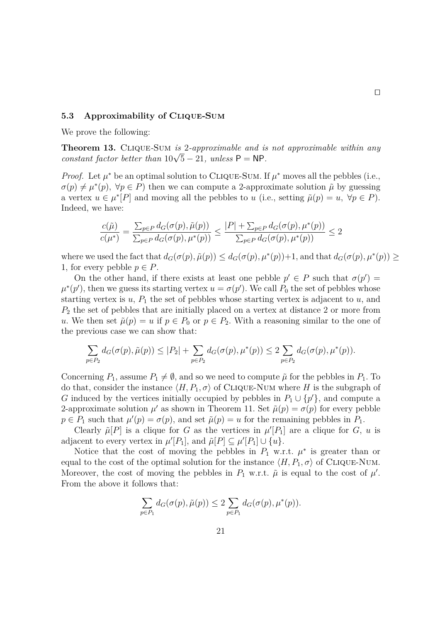## **5.3 Approximability of** Clique**-**Sum

We prove the following:

**Theorem 13.** Clique*-*Sum *is* 2*-approximable and is not approximable within any constant factor better than*  $10\sqrt{5} - 21$ *, unless*  $P = NP$ *.* 

*Proof.* Let  $\mu^*$  be an optimal solution to CLIQUE-SUM. If  $\mu^*$  moves all the pebbles (i.e.,  $\sigma(p) \neq \mu^*(p)$ ,  $\forall p \in P$ ) then we can compute a 2-approximate solution  $\tilde{\mu}$  by guessing a vertex  $u \in \mu^*[P]$  and moving all the pebbles to  $u$  (i.e., setting  $\tilde{\mu}(p) = u$ ,  $\forall p \in P$ ). Indeed, we have:

$$
\frac{c(\tilde{\mu})}{c(\mu^*)} = \frac{\sum_{p \in P} d_G(\sigma(p), \tilde{\mu}(p))}{\sum_{p \in P} d_G(\sigma(p), \mu^*(p))} \le \frac{|P| + \sum_{p \in P} d_G(\sigma(p), \mu^*(p))}{\sum_{p \in P} d_G(\sigma(p), \mu^*(p))} \le 2
$$

where we used the fact that  $d_G(\sigma(p), \tilde{\mu}(p)) \leq d_G(\sigma(p), \mu^*(p)) + 1$ , and that  $d_G(\sigma(p), \mu^*(p)) \geq$ 1, for every pebble  $p \in P$ .

On the other hand, if there exists at least one pebble  $p' \in P$  such that  $\sigma(p') =$  $\mu^*(p')$ , then we guess its starting vertex  $u = \sigma(p')$ . We call  $P_0$  the set of pebbles whose starting vertex is  $u, P_1$  the set of pebbles whose starting vertex is adjacent to  $u$ , and *P*<sup>2</sup> the set of pebbles that are initially placed on a vertex at distance 2 or more from *u*. We then set  $\tilde{\mu}(p) = u$  if  $p \in P_0$  or  $p \in P_2$ . With a reasoning similar to the one of the previous case we can show that:

$$
\sum_{p \in P_2} d_G(\sigma(p), \tilde{\mu}(p)) \le |P_2| + \sum_{p \in P_2} d_G(\sigma(p), \mu^*(p)) \le 2 \sum_{p \in P_2} d_G(\sigma(p), \mu^*(p)).
$$

Concerning  $P_1$ , assume  $P_1 \neq \emptyset$ , and so we need to compute  $\tilde{\mu}$  for the pebbles in  $P_1$ . To do that, consider the instance  $\langle H, P_1, \sigma \rangle$  of CLIQUE-NUM where *H* is the subgraph of *G* induced by the vertices initially occupied by pebbles in  $P_1 \cup \{p'\}$ , and compute a 2-approximate solution  $\mu'$  as shown in Theorem 11. Set  $\tilde{\mu}(p) = \sigma(p)$  for every pebble  $p \in P_1$  such that  $\mu'(p) = \sigma(p)$ , and set  $\tilde{\mu}(p) = u$  for the remaining pebbles in  $P_1$ .

Clearly  $\tilde{\mu}[P]$  is a clique for *G* as the vertices in  $\mu'[P_1]$  are a clique for *G*, *u* is adjacent to every vertex in  $\mu'[P_1]$ , and  $\tilde{\mu}[P] \subseteq \mu'[P_1] \cup \{u\}$ .

Notice that the cost of moving the pebbles in  $P_1$  w.r.t.  $\mu^*$  is greater than or equal to the cost of the optimal solution for the instance  $\langle H, P_1, \sigma \rangle$  of CLIQUE-NUM. Moreover, the cost of moving the pebbles in  $P_1$  w.r.t.  $\tilde{\mu}$  is equal to the cost of  $\mu'$ . From the above it follows that:

$$
\sum_{p \in P_1} d_G(\sigma(p), \tilde{\mu}(p)) \le 2 \sum_{p \in P_1} d_G(\sigma(p), \mu^*(p)).
$$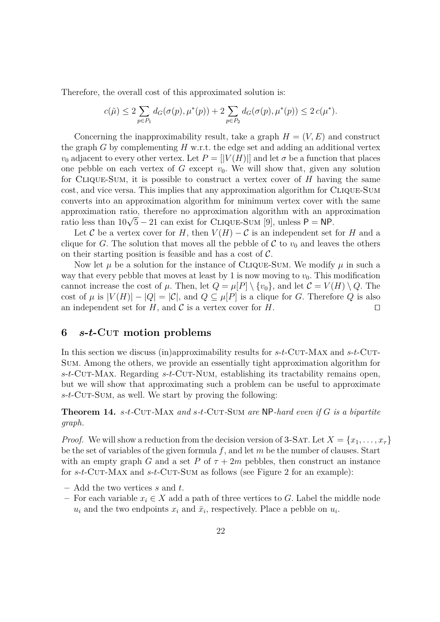Therefore, the overall cost of this approximated solution is:

$$
c(\tilde{\mu}) \le 2 \sum_{p \in P_1} d_G(\sigma(p), \mu^*(p)) + 2 \sum_{p \in P_2} d_G(\sigma(p), \mu^*(p)) \le 2 c(\mu^*).
$$

Concerning the inapproximability result, take a graph  $H = (V, E)$  and construct the graph *G* by complementing *H* w.r.t. the edge set and adding an additional vertex *v*<sub>0</sub> adjacent to every other vertex. Let  $P = |V(H)|$  and let  $\sigma$  be a function that places one pebble on each vertex of  $G$  except  $v_0$ . We will show that, given any solution for Clique-Sum, it is possible to construct a vertex cover of *H* having the same cost, and vice versa. This implies that any approximation algorithm for Clique-Sum converts into an approximation algorithm for minimum vertex cover with the same approximation ratio, therefore no approximation algorithm with an approximation approximation ratio, therefore no approximation algorithm with an ap<br>ratio less than 10√5 – 21 can exist for CLIQUE-SUM [9], unless P = NP.

Let C be a vertex cover for *H*, then  $V(H) - C$  is an independent set for *H* and a clique for *G*. The solution that moves all the pebble of *C* to  $v_0$  and leaves the others on their starting position is feasible and has a cost of *C*.

Now let  $\mu$  be a solution for the instance of CLIQUE-SUM. We modify  $\mu$  in such a way that every pebble that moves at least by 1 is now moving to  $v_0$ . This modification cannot increase the cost of  $\mu$ . Then, let  $Q = \mu[P] \setminus \{v_0\}$ , and let  $\mathcal{C} = V(H) \setminus Q$ . The cost of  $\mu$  is  $|V(H)| - |Q| = |\mathcal{C}|$ , and  $Q \subseteq \mu[P]$  is a clique for *G*. Therefore *Q* is also an independent set for *H*, and  $\mathcal{C}$  is a vertex cover for *H*.  $\Box$ 

# **6** *s***-***t***-**Cut **motion problems**

In this section we discuss (in)approximability results for *s*-*t*-CUT-MAX and *s*-*t*-CUT-Sum. Among the others, we provide an essentially tight approximation algorithm for *s*-*t*-Cut-Max. Regarding *s*-*t*-Cut-Num, establishing its tractability remains open, but we will show that approximating such a problem can be useful to approximate *s*-*t*-Cut-Sum, as well. We start by proving the following:

**Theorem 14.** *s-t-*Cut*-*Max *and s-t-*Cut*-*Sum *are* NP*-hard even if G is a bipartite graph.*

*Proof.* We will show a reduction from the decision version of 3-SAT. Let  $X = \{x_1, \ldots, x_\tau\}$ be the set of variables of the given formula *f*, and let *m* be the number of clauses. Start with an empty graph *G* and a set *P* of  $\tau + 2m$  pebbles, then construct an instance for *s*-*t*-CUT-MAX and *s*-*t*-CUT-SUM as follows (see Figure 2 for an example):

- **–** Add the two vertices *s* and *t*.
- **–** For each variable *x<sup>i</sup> ∈ X* add a path of three vertices to *G*. Label the middle node  $u_i$  and the two endpoints  $x_i$  and  $\bar{x}_i$ , respectively. Place a pebble on  $u_i$ .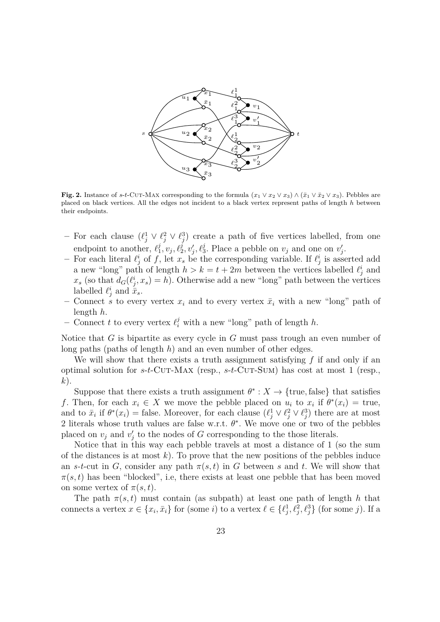

**Fig. 2.** Instance of *s*-*t*-CUT-MAX corresponding to the formula  $(x_1 \vee x_2 \vee x_3) \wedge (\bar{x}_1 \vee \bar{x}_2 \vee x_3)$ . Pebbles are placed on black vertices. All the edges not incident to a black vertex represent paths of length *h* between their endpoints.

- **−** For each clause  $(\ell_j^1 \lor \ell_j^2 \lor \ell_j^3)$  create a path of five vertices labelled, from one endpoint to another,  $\ell_1^j$  $v_j$ ,  $v_j$ ,  $v_j'$ ,  $v_j'$ ,  $v_j'$ . Place a pebble on  $v_j$  and one on  $v_j'$ .
- $\overline{f}$  For each literal  $\ell_j^i$  of  $f$ , let  $x_s$  be the corresponding variable. If  $\ell_j^i$  is asserted add a new "long" path of length  $h > k = t + 2m$  between the vertices labelled  $\ell_j^i$  and  $x_s$  (so that  $d_G(\ell_j^i, x_s) = h$ ). Otherwise add a new "long" path between the vertices labelled  $\ell_j^i$  and  $\bar{x}_s$ .
- Connect *s* to every vertex  $x_i$  and to every vertex  $\bar{x}_i$  with a new "long" path of length *h*.
- $-$  Connect *t* to every vertex  $\ell_i^j$  with a new "long" path of length *h*.

Notice that *G* is bipartite as every cycle in *G* must pass trough an even number of long paths (paths of length *h*) and an even number of other edges.

We will show that there exists a truth assignment satisfying *f* if and only if an optimal solution for *s*-*t*-Cut-Max (resp., *s*-*t*-Cut-Sum) has cost at most 1 (resp., *k*).

Suppose that there exists a truth assignment  $\theta^*$  :  $X \to \{\text{true}, \text{false}\}\$  that satisfies *f*. Then, for each  $x_i \in X$  we move the pebble placed on  $u_i$  to  $x_i$  if  $\theta^*(x_i) = \text{true}$ , and to  $\bar{x}_i$  if  $\theta^*(x_i) =$  false. Moreover, for each clause  $(\ell_j^1 \vee \ell_j^2 \vee \ell_j^3)$  there are at most 2 literals whose truth values are false w.r.t.  $\theta^*$ . We move one or two of the pebbles placed on  $v_j$  and  $v'_j$  to the nodes of  $G$  corresponding to the those literals.

Notice that in this way each pebble travels at most a distance of 1 (so the sum of the distances is at most *k*). To prove that the new positions of the pebbles induce an *s*-t-cut in *G*, consider any path  $\pi(s,t)$  in *G* between *s* and *t*. We will show that  $\pi(s,t)$  has been "blocked", i.e, there exists at least one pebble that has been moved on some vertex of  $\pi(s,t)$ .

The path  $\pi(s,t)$  must contain (as subpath) at least one path of length *h* that connects a vertex  $x \in \{x_i, \bar{x}_i\}$  for (some *i*) to a vertex  $\ell \in \{\ell_j^1, \ell_j^2, \ell_j^3\}$  (for some *j*). If a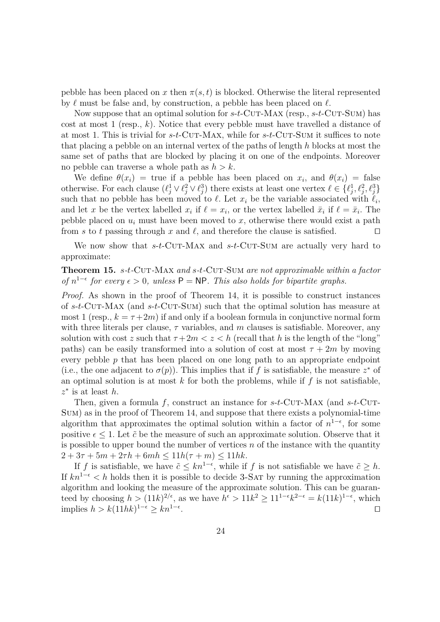pebble has been placed on *x* then  $\pi(s, t)$  is blocked. Otherwise the literal represented by *ℓ* must be false and, by construction, a pebble has been placed on *ℓ*.

Now suppose that an optimal solution for *s*-*t*-Cut-Max (resp., *s*-*t*-Cut-Sum) has cost at most 1 (resp., *k*). Notice that every pebble must have travelled a distance of at most 1. This is trivial for *s*-*t*-Cut-Max, while for *s*-*t*-Cut-Sum it suffices to note that placing a pebble on an internal vertex of the paths of length *h* blocks at most the same set of paths that are blocked by placing it on one of the endpoints. Moreover no pebble can traverse a whole path as *h > k*.

We define  $\theta(x_i)$  = true if a pebble has been placed on  $x_i$ , and  $\theta(x_i)$  = false otherwise. For each clause  $(\ell_j^1 \vee \ell_j^2 \vee \ell_j^3)$  there exists at least one vertex  $\ell \in {\ell_j^1, \ell_j^2, \ell_j^3}$ such that no pebble has been moved to  $\ell$ . Let  $x_i$  be the variable associated with  $\ell_i$ , and let *x* be the vertex labelled  $x_i$  if  $\ell = x_i$ , or the vertex labelled  $\bar{x}_i$  if  $\ell = \bar{x}_i$ . The pebble placed on  $u_i$  must have been moved to  $x$ , otherwise there would exist a path from *s* to *t* passing through *x* and *ℓ*, and therefore the clause is satisfied. *⊓⊔*

We now show that *s*-*t*-CUT-MAX and *s*-*t*-CUT-SUM are actually very hard to approximate:

# **Theorem 15.** *s-t-*Cut*-*Max *and s-t-*Cut*-*Sum *are not approximable within a factor of*  $n^{1-ε}$  *for every*  $\epsilon > 0$ *, unless* **P** = **NP***. This also holds for bipartite graphs.*

*Proof.* As shown in the proof of Theorem 14, it is possible to construct instances of *s*-*t*-Cut-Max (and *s*-*t*-Cut-Sum) such that the optimal solution has measure at most 1 (resp.,  $k = \tau + 2m$ ) if and only if a boolean formula in conjunctive normal form with three literals per clause, *τ* variables, and *m* clauses is satisfiable. Moreover, any solution with cost *z* such that  $\tau + 2m < z < h$  (recall that *h* is the length of the "long" paths) can be easily transformed into a solution of cost at most  $\tau + 2m$  by moving every pebble *p* that has been placed on one long path to an appropriate endpoint (i.e., the one adjacent to  $\sigma(p)$ ). This implies that if f is satisfiable, the measure  $z^*$  of an optimal solution is at most *k* for both the problems, while if *f* is not satisfiable, *z ∗* is at least *h*.

Then, given a formula f, construct an instance for  $s$ -*t*-CuT-Max (and  $s$ -*t*-CuT-Sum) as in the proof of Theorem 14, and suppose that there exists a polynomial-time algorithm that approximates the optimal solution within a factor of  $n^{1-\epsilon}$ , for some positive  $\epsilon \leq 1$ . Let  $\tilde{\epsilon}$  be the measure of such an approximate solution. Observe that it is possible to upper bound the number of vertices *n* of the instance with the quantity  $2 + 3\tau + 5m + 2\tau h + 6mh \leq 11h(\tau + m) \leq 11hk.$ 

If *f* is satisfiable, we have  $\tilde{c} \leq kn^{1-\epsilon}$ , while if *f* is not satisfiable we have  $\tilde{c} \geq h$ . If  $kn^{1-\epsilon} < h$  holds then it is possible to decide 3-SAT by running the approximation algorithm and looking the measure of the approximate solution. This can be guaranteed by choosing  $h > (11k)^{2/\epsilon}$ , as we have  $h^{\epsilon} > 11k^2 \geq 11^{1-\epsilon}k^{2-\epsilon} = k(11k)^{1-\epsilon}$ , which implies  $h > k(11hk)^{1-\epsilon} \geq kn^{1-\epsilon}$ . *⊓⊔*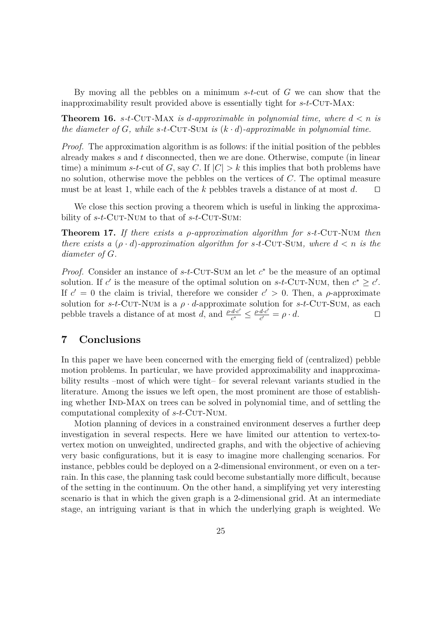By moving all the pebbles on a minimum *s*-*t*-cut of *G* we can show that the inapproximability result provided above is essentially tight for *s*-*t*-Cut-Max:

**Theorem 16.** *s*-*t*-CUT-MAX *is d*-*approximable in polynomial time, where*  $d < n$  *is the diameter of*  $G$ *, while*  $s$ *-t*-Cut<sup>-</sup>Sum *is*  $(k \cdot d)$ -*approximable in polynomial time.* 

*Proof.* The approximation algorithm is as follows: if the initial position of the pebbles already makes *s* and *t* disconnected, then we are done. Otherwise, compute (in linear time) a minimum *s*-*t*-cut of *G*, say *C*. If  $|C| > k$  this implies that both problems have no solution, otherwise move the pebbles on the vertices of *C*. The optimal measure must be at least 1, while each of the *k* pebbles travels a distance of at most *d*. *⊓⊔*

We close this section proving a theorem which is useful in linking the approximability of *s*-*t*-Cut-Num to that of *s*-*t*-Cut-Sum:

**Theorem 17.** *If there exists a ρ-approximation algorithm for s-t-*Cut*-*Num *then there exists a*  $(\rho \cdot d)$ *-approximation algorithm for s-t-CuT-Sum, where*  $d < n$  *is the diameter of G.*

*Proof.* Consider an instance of *s*-*t*-CUT-SUM an let  $c^*$  be the measure of an optimal solution. If *c'* is the measure of the optimal solution on *s*-*t*-CUT-NUM, then  $c^* \geq c'$ . If  $c' = 0$  the claim is trivial, therefore we consider  $c' > 0$ . Then, a *ρ*-approximate solution for  $s$ -*t*-CUT-NUM is a  $\rho \cdot d$ -approximate solution for  $s$ -*t*-CUT-SUM, as each pebble travels a distance of at most *d*, and  $\frac{\rho \cdot d \cdot c'}{c^*}$  $\frac{d \cdot c'}{c^*} \leq \frac{\rho \cdot d \cdot c'}{c'}$  $\frac{d \cdot c'}{c'} = \rho \cdot d.$ 

# **7 Conclusions**

In this paper we have been concerned with the emerging field of (centralized) pebble motion problems. In particular, we have provided approximability and inapproximability results –most of which were tight– for several relevant variants studied in the literature. Among the issues we left open, the most prominent are those of establishing whether IND-MAX on trees can be solved in polynomial time, and of settling the computational complexity of *s*-*t*-Cut-Num.

Motion planning of devices in a constrained environment deserves a further deep investigation in several respects. Here we have limited our attention to vertex-tovertex motion on unweighted, undirected graphs, and with the objective of achieving very basic configurations, but it is easy to imagine more challenging scenarios. For instance, pebbles could be deployed on a 2-dimensional environment, or even on a terrain. In this case, the planning task could become substantially more difficult, because of the setting in the continuum. On the other hand, a simplifying yet very interesting scenario is that in which the given graph is a 2-dimensional grid. At an intermediate stage, an intriguing variant is that in which the underlying graph is weighted. We